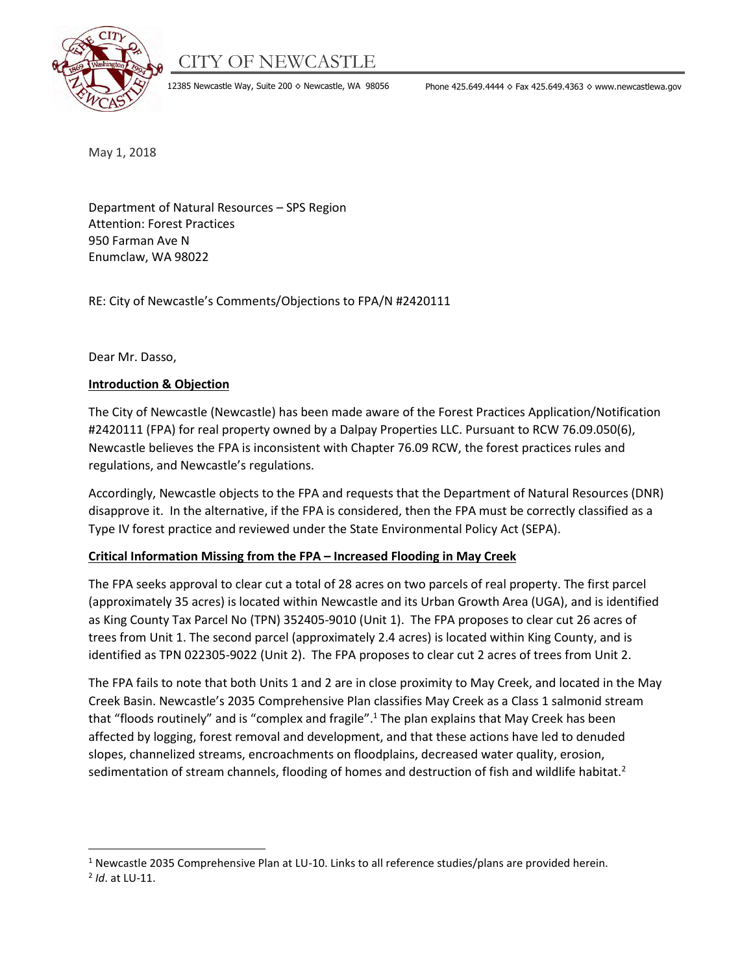# CITY OF NEWCASTLE



12385 Newcastle Way, Suite 200 ◊ Newcastle, WA 98056 Phone 425.649.4444 ◊ Fax 425.649.4363 ◊ www.newcastlewa.gov

May 1, 2018

Department of Natural Resources – SPS Region Attention: Forest Practices 950 Farman Ave N Enumclaw, WA 98022

RE: City of Newcastle's Comments/Objections to FPA/N #2420111

Dear Mr. Dasso,

#### **Introduction & Objection**

The City of Newcastle (Newcastle) has been made aware of the Forest Practices Application/Notification #2420111 (FPA) for real property owned by a Dalpay Properties LLC. Pursuant to RCW 76.09.050(6), Newcastle believes the FPA is inconsistent with Chapter 76.09 RCW, the forest practices rules and regulations, and Newcastle's regulations.

Accordingly, Newcastle objects to the FPA and requests that the Department of Natural Resources (DNR) disapprove it. In the alternative, if the FPA is considered, then the FPA must be correctly classified as a Type IV forest practice and reviewed under the State Environmental Policy Act (SEPA).

#### **Critical Information Missing from the FPA – Increased Flooding in May Creek**

The FPA seeks approval to clear cut a total of 28 acres on two parcels of real property. The first parcel (approximately 35 acres) is located within Newcastle and its Urban Growth Area (UGA), and is identified as King County Tax Parcel No (TPN) 352405-9010 (Unit 1). The FPA proposes to clear cut 26 acres of trees from Unit 1. The second parcel (approximately 2.4 acres) is located within King County, and is identified as TPN 022305-9022 (Unit 2). The FPA proposes to clear cut 2 acres of trees from Unit 2.

The FPA fails to note that both Units 1 and 2 are in close proximity to May Creek, and located in the May Creek Basin. Newcastle's 2035 Comprehensive Plan classifies May Creek as a Class 1 salmonid stream that "floods routinely" and is "complex and fragile".<sup>1</sup> The plan explains that May Creek has been affected by logging, forest removal and development, and that these actions have led to denuded slopes, channelized streams, encroachments on floodplains, decreased water quality, erosion, sedimentation of stream channels, flooding of homes and destruction of fish and wildlife habitat.<sup>2</sup>

 $\overline{\phantom{a}}$ 

<sup>&</sup>lt;sup>1</sup> Newcastle 2035 Comprehensive Plan at LU-10. Links to all reference studies/plans are provided herein.

<sup>2</sup> *Id*. at LU-11.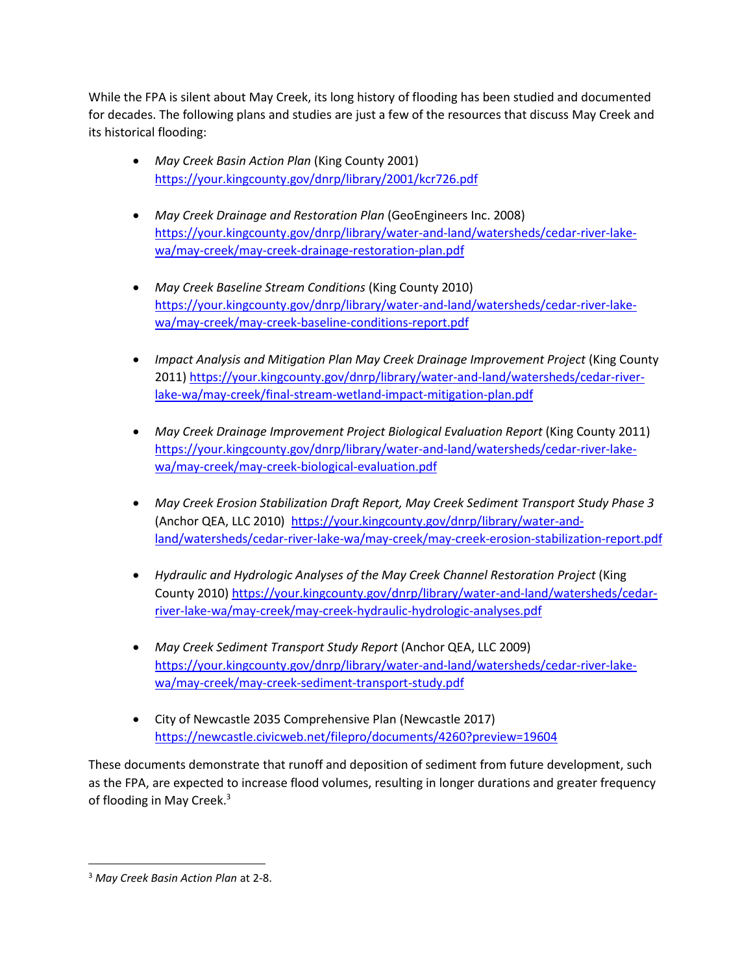While the FPA is silent about May Creek, its long history of flooding has been studied and documented for decades. The following plans and studies are just a few of the resources that discuss May Creek and its historical flooding:

- *May Creek Basin Action Plan* (King County 2001) <https://your.kingcounty.gov/dnrp/library/2001/kcr726.pdf>
- *May Creek Drainage and Restoration Plan* (GeoEngineers Inc. 2008) [https://your.kingcounty.gov/dnrp/library/water-and-land/watersheds/cedar-river-lake](https://your.kingcounty.gov/dnrp/library/water-and-land/watersheds/cedar-river-lake-wa/may-creek/may-creek-drainage-restoration-plan.pdf)[wa/may-creek/may-creek-drainage-restoration-plan.pdf](https://your.kingcounty.gov/dnrp/library/water-and-land/watersheds/cedar-river-lake-wa/may-creek/may-creek-drainage-restoration-plan.pdf)
- *May Creek Baseline Stream Conditions* (King County 2010) [https://your.kingcounty.gov/dnrp/library/water-and-land/watersheds/cedar-river-lake](https://your.kingcounty.gov/dnrp/library/water-and-land/watersheds/cedar-river-lake-wa/may-creek/may-creek-baseline-conditions-report.pdf)[wa/may-creek/may-creek-baseline-conditions-report.pdf](https://your.kingcounty.gov/dnrp/library/water-and-land/watersheds/cedar-river-lake-wa/may-creek/may-creek-baseline-conditions-report.pdf)
- *Impact Analysis and Mitigation Plan May Creek Drainage Improvement Project* (King County 2011) [https://your.kingcounty.gov/dnrp/library/water-and-land/watersheds/cedar-river](https://your.kingcounty.gov/dnrp/library/water-and-land/watersheds/cedar-river-lake-wa/may-creek/final-stream-wetland-impact-mitigation-plan.pdf)[lake-wa/may-creek/final-stream-wetland-impact-mitigation-plan.pdf](https://your.kingcounty.gov/dnrp/library/water-and-land/watersheds/cedar-river-lake-wa/may-creek/final-stream-wetland-impact-mitigation-plan.pdf)
- *May Creek Drainage Improvement Project Biological Evaluation Report* (King County 2011) [https://your.kingcounty.gov/dnrp/library/water-and-land/watersheds/cedar-river-lake](https://your.kingcounty.gov/dnrp/library/water-and-land/watersheds/cedar-river-lake-wa/may-creek/may-creek-biological-evaluation.pdf)[wa/may-creek/may-creek-biological-evaluation.pdf](https://your.kingcounty.gov/dnrp/library/water-and-land/watersheds/cedar-river-lake-wa/may-creek/may-creek-biological-evaluation.pdf)
- *May Creek Erosion Stabilization Draft Report, May Creek Sediment Transport Study Phase 3*  (Anchor QEA, LLC 2010) [https://your.kingcounty.gov/dnrp/library/water-and](https://your.kingcounty.gov/dnrp/library/water-and-land/watersheds/cedar-river-lake-wa/may-creek/may-creek-erosion-stabilization-report.pdf)[land/watersheds/cedar-river-lake-wa/may-creek/may-creek-erosion-stabilization-report.pdf](https://your.kingcounty.gov/dnrp/library/water-and-land/watersheds/cedar-river-lake-wa/may-creek/may-creek-erosion-stabilization-report.pdf)
- *Hydraulic and Hydrologic Analyses of the May Creek Channel Restoration Project* (King County 2010) [https://your.kingcounty.gov/dnrp/library/water-and-land/watersheds/cedar](https://your.kingcounty.gov/dnrp/library/water-and-land/watersheds/cedar-river-lake-wa/may-creek/may-creek-hydraulic-hydrologic-analyses.pdf)[river-lake-wa/may-creek/may-creek-hydraulic-hydrologic-analyses.pdf](https://your.kingcounty.gov/dnrp/library/water-and-land/watersheds/cedar-river-lake-wa/may-creek/may-creek-hydraulic-hydrologic-analyses.pdf)
- *May Creek Sediment Transport Study Report* (Anchor QEA, LLC 2009) [https://your.kingcounty.gov/dnrp/library/water-and-land/watersheds/cedar-river-lake](https://your.kingcounty.gov/dnrp/library/water-and-land/watersheds/cedar-river-lake-wa/may-creek/may-creek-sediment-transport-study.pdf)[wa/may-creek/may-creek-sediment-transport-study.pdf](https://your.kingcounty.gov/dnrp/library/water-and-land/watersheds/cedar-river-lake-wa/may-creek/may-creek-sediment-transport-study.pdf)
- City of Newcastle 2035 Comprehensive Plan (Newcastle 2017) <https://newcastle.civicweb.net/filepro/documents/4260?preview=19604>

These documents demonstrate that runoff and deposition of sediment from future development, such as the FPA, are expected to increase flood volumes, resulting in longer durations and greater frequency of flooding in May Creek.<sup>3</sup>

 $\overline{\phantom{a}}$ 

<sup>3</sup> *May Creek Basin Action Plan* at 2-8.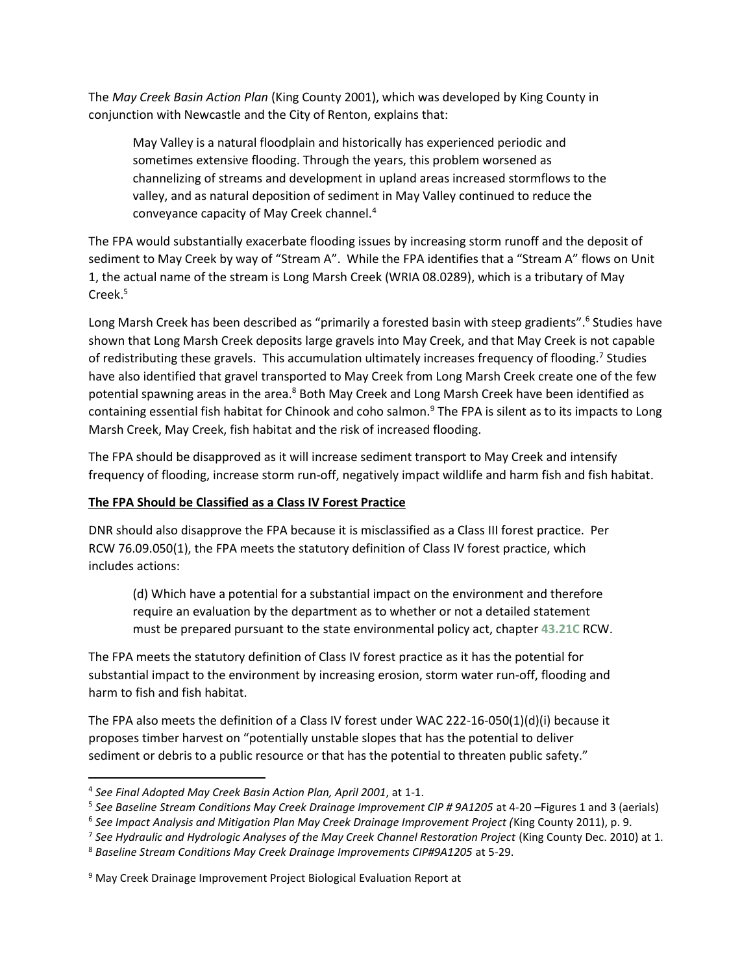The *May Creek Basin Action Plan* (King County 2001), which was developed by King County in conjunction with Newcastle and the City of Renton, explains that:

May Valley is a natural floodplain and historically has experienced periodic and sometimes extensive flooding. Through the years, this problem worsened as channelizing of streams and development in upland areas increased stormflows to the valley, and as natural deposition of sediment in May Valley continued to reduce the conveyance capacity of May Creek channel.<sup>4</sup>

The FPA would substantially exacerbate flooding issues by increasing storm runoff and the deposit of sediment to May Creek by way of "Stream A". While the FPA identifies that a "Stream A" flows on Unit 1, the actual name of the stream is Long Marsh Creek (WRIA 08.0289), which is a tributary of May Creek. 5

Long Marsh Creek has been described as "primarily a forested basin with steep gradients".<sup>6</sup> Studies have shown that Long Marsh Creek deposits large gravels into May Creek, and that May Creek is not capable of redistributing these gravels. This accumulation ultimately increases frequency of flooding.<sup>7</sup> Studies have also identified that gravel transported to May Creek from Long Marsh Creek create one of the few potential spawning areas in the area.<sup>8</sup> Both May Creek and Long Marsh Creek have been identified as containing essential fish habitat for Chinook and coho salmon.<sup>9</sup> The FPA is silent as to its impacts to Long Marsh Creek, May Creek, fish habitat and the risk of increased flooding.

The FPA should be disapproved as it will increase sediment transport to May Creek and intensify frequency of flooding, increase storm run-off, negatively impact wildlife and harm fish and fish habitat.

#### **The FPA Should be Classified as a Class IV Forest Practice**

DNR should also disapprove the FPA because it is misclassified as a Class III forest practice. Per RCW 76.09.050(1), the FPA meets the statutory definition of Class IV forest practice, which includes actions:

(d) Which have a potential for a substantial impact on the environment and therefore require an evaluation by the department as to whether or not a detailed statement must be prepared pursuant to the state environmental policy act, chapter **[43.21C](http://app.leg.wa.gov/RCW/default.aspx?cite=43.21C)** RCW.

The FPA meets the statutory definition of Class IV forest practice as it has the potential for substantial impact to the environment by increasing erosion, storm water run-off, flooding and harm to fish and fish habitat.

The FPA also meets the definition of a Class IV forest under WAC 222-16-050(1)(d)(i) because it proposes timber harvest on "potentially unstable slopes that has the potential to deliver sediment or debris to a public resource or that has the potential to threaten public safety."

l

<sup>4</sup> *See Final Adopted May Creek Basin Action Plan, April 2001*, at 1-1.

<sup>&</sup>lt;sup>5</sup> See Baseline Stream Conditions May Creek Drainage Improvement CIP # 9A1205 at 4-20 –Figures 1 and 3 (aerials)

<sup>6</sup> *See Impact Analysis and Mitigation Plan May Creek Drainage Improvement Project (*King County 2011), p. 9.

<sup>&</sup>lt;sup>7</sup> See Hydraulic and Hydrologic Analyses of the May Creek Channel Restoration Project (King County Dec. 2010) at 1.

<sup>8</sup> *Baseline Stream Conditions May Creek Drainage Improvements CIP#9A1205* at 5-29.

<sup>&</sup>lt;sup>9</sup> May Creek Drainage Improvement Project Biological Evaluation Report at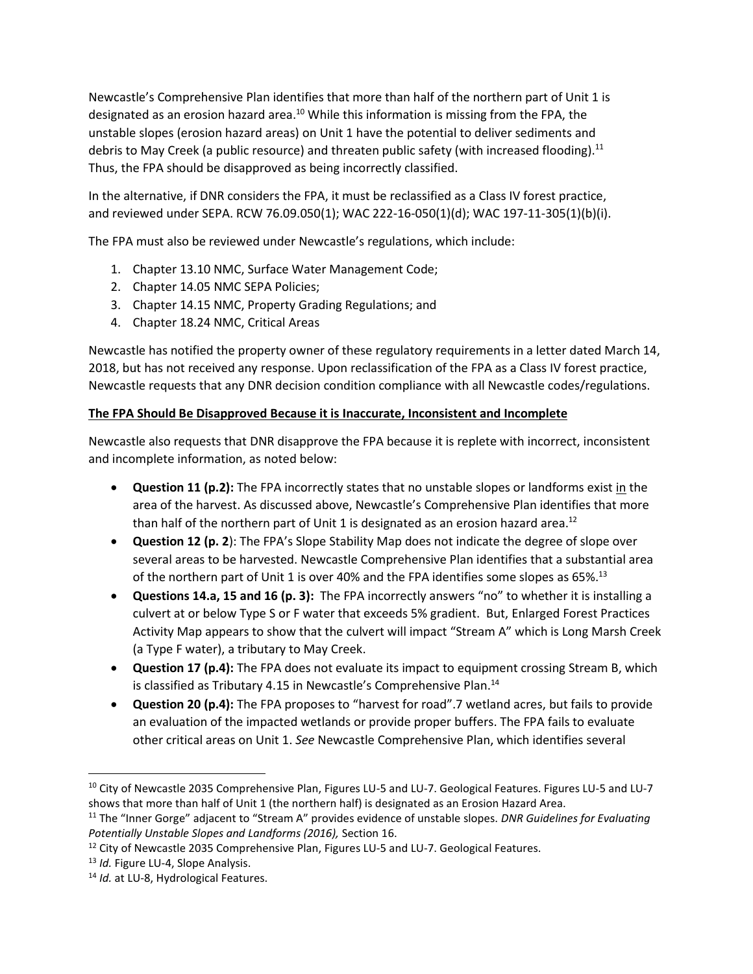Newcastle's Comprehensive Plan identifies that more than half of the northern part of Unit 1 is designated as an erosion hazard area.<sup>10</sup> While this information is missing from the FPA, the unstable slopes (erosion hazard areas) on Unit 1 have the potential to deliver sediments and debris to May Creek (a public resource) and threaten public safety (with increased flooding).<sup>11</sup> Thus, the FPA should be disapproved as being incorrectly classified.

In the alternative, if DNR considers the FPA, it must be reclassified as a Class IV forest practice, and reviewed under SEPA. RCW 76.09.050(1); WAC 222-16-050(1)(d); WAC 197-11-305(1)(b)(i).

The FPA must also be reviewed under Newcastle's regulations, which include:

- 1. Chapter 13.10 NMC, Surface Water Management Code;
- 2. Chapter 14.05 NMC SEPA Policies;
- 3. Chapter 14.15 NMC, Property Grading Regulations; and
- 4. Chapter 18.24 NMC, Critical Areas

Newcastle has notified the property owner of these regulatory requirements in a letter dated March 14, 2018, but has not received any response. Upon reclassification of the FPA as a Class IV forest practice, Newcastle requests that any DNR decision condition compliance with all Newcastle codes/regulations.

### **The FPA Should Be Disapproved Because it is Inaccurate, Inconsistent and Incomplete**

Newcastle also requests that DNR disapprove the FPA because it is replete with incorrect, inconsistent and incomplete information, as noted below:

- **Question 11 (p.2):** The FPA incorrectly states that no unstable slopes or landforms exist in the area of the harvest. As discussed above, Newcastle's Comprehensive Plan identifies that more than half of the northern part of Unit 1 is designated as an erosion hazard area. $^{12}$
- **Question 12 (p. 2**): The FPA's Slope Stability Map does not indicate the degree of slope over several areas to be harvested. Newcastle Comprehensive Plan identifies that a substantial area of the northern part of Unit 1 is over 40% and the FPA identifies some slopes as 65%.<sup>13</sup>
- **Questions 14.a, 15 and 16 (p. 3):** The FPA incorrectly answers "no" to whether it is installing a culvert at or below Type S or F water that exceeds 5% gradient. But, Enlarged Forest Practices Activity Map appears to show that the culvert will impact "Stream A" which is Long Marsh Creek (a Type F water), a tributary to May Creek.
- **Question 17 (p.4):** The FPA does not evaluate its impact to equipment crossing Stream B, which is classified as Tributary 4.15 in Newcastle's Comprehensive Plan.<sup>14</sup>
- **Question 20 (p.4):** The FPA proposes to "harvest for road".7 wetland acres, but fails to provide an evaluation of the impacted wetlands or provide proper buffers. The FPA fails to evaluate other critical areas on Unit 1. *See* Newcastle Comprehensive Plan, which identifies several

 $\overline{\phantom{a}}$ 

<sup>10</sup> City of Newcastle 2035 Comprehensive Plan, Figures LU-5 and LU-7. Geological Features. Figures LU-5 and LU-7 shows that more than half of Unit 1 (the northern half) is designated as an Erosion Hazard Area.

<sup>11</sup> The "Inner Gorge" adjacent to "Stream A" provides evidence of unstable slopes. *DNR Guidelines for Evaluating Potentially Unstable Slopes and Landforms (2016),* Section 16.

<sup>&</sup>lt;sup>12</sup> City of Newcastle 2035 Comprehensive Plan, Figures LU-5 and LU-7. Geological Features.

<sup>13</sup> *Id.* Figure LU-4, Slope Analysis.

<sup>14</sup> *Id.* at LU-8, Hydrological Features.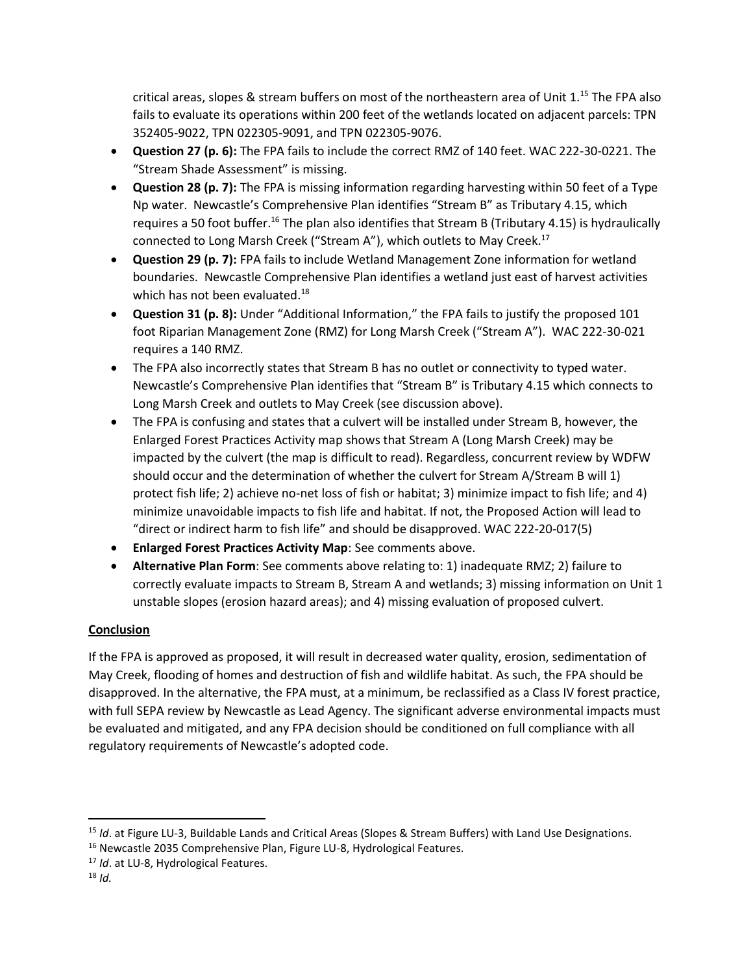critical areas, slopes & stream buffers on most of the northeastern area of Unit 1.<sup>15</sup> The FPA also fails to evaluate its operations within 200 feet of the wetlands located on adjacent parcels: TPN 352405-9022, TPN 022305-9091, and TPN 022305-9076.

- **Question 27 (p. 6):** The FPA fails to include the correct RMZ of 140 feet. WAC 222-30-0221. The "Stream Shade Assessment" is missing.
- **Question 28 (p. 7):** The FPA is missing information regarding harvesting within 50 feet of a Type Np water. Newcastle's Comprehensive Plan identifies "Stream B" as Tributary 4.15, which requires a 50 foot buffer.<sup>16</sup> The plan also identifies that Stream B (Tributary 4.15) is hydraulically connected to Long Marsh Creek ("Stream A"), which outlets to May Creek.<sup>17</sup>
- **Question 29 (p. 7):** FPA fails to include Wetland Management Zone information for wetland boundaries. Newcastle Comprehensive Plan identifies a wetland just east of harvest activities which has not been evaluated.<sup>18</sup>
- **Question 31 (p. 8):** Under "Additional Information," the FPA fails to justify the proposed 101 foot Riparian Management Zone (RMZ) for Long Marsh Creek ("Stream A"). WAC 222-30-021 requires a 140 RMZ.
- The FPA also incorrectly states that Stream B has no outlet or connectivity to typed water. Newcastle's Comprehensive Plan identifies that "Stream B" is Tributary 4.15 which connects to Long Marsh Creek and outlets to May Creek (see discussion above).
- The FPA is confusing and states that a culvert will be installed under Stream B, however, the Enlarged Forest Practices Activity map shows that Stream A (Long Marsh Creek) may be impacted by the culvert (the map is difficult to read). Regardless, concurrent review by WDFW should occur and the determination of whether the culvert for Stream A/Stream B will 1) protect fish life; 2) achieve no-net loss of fish or habitat; 3) minimize impact to fish life; and 4) minimize unavoidable impacts to fish life and habitat. If not, the Proposed Action will lead to "direct or indirect harm to fish life" and should be disapproved. WAC 222-20-017(5)
- **Enlarged Forest Practices Activity Map**: See comments above.
- **Alternative Plan Form**: See comments above relating to: 1) inadequate RMZ; 2) failure to correctly evaluate impacts to Stream B, Stream A and wetlands; 3) missing information on Unit 1 unstable slopes (erosion hazard areas); and 4) missing evaluation of proposed culvert.

## **Conclusion**

If the FPA is approved as proposed, it will result in decreased water quality, erosion, sedimentation of May Creek, flooding of homes and destruction of fish and wildlife habitat. As such, the FPA should be disapproved. In the alternative, the FPA must, at a minimum, be reclassified as a Class IV forest practice, with full SEPA review by Newcastle as Lead Agency. The significant adverse environmental impacts must be evaluated and mitigated, and any FPA decision should be conditioned on full compliance with all regulatory requirements of Newcastle's adopted code.

l

<sup>&</sup>lt;sup>15</sup> *Id.* at Figure LU-3, Buildable Lands and Critical Areas (Slopes & Stream Buffers) with Land Use Designations.

<sup>&</sup>lt;sup>16</sup> Newcastle 2035 Comprehensive Plan, Figure LU-8, Hydrological Features.

<sup>17</sup> *Id*. at LU-8, Hydrological Features.